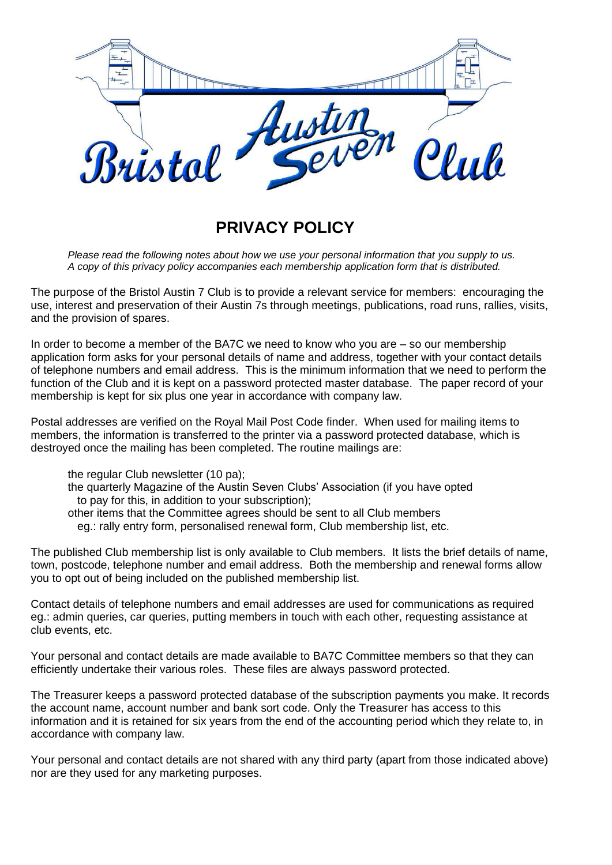

## **PRIVACY POLICY**

*Please read the following notes about how we use your personal information that you supply to us. A copy of this privacy policy accompanies each membership application form that is distributed.* 

The purpose of the Bristol Austin 7 Club is to provide a relevant service for members:encouraging the use, interest and preservation of their Austin 7s through meetings, publications, road runs, rallies, visits, and the provision of spares.

In order to become a member of the BA7C we need to know who you are – so our membership application form asks for your personal details of name and address, together with your contact details of telephone numbers and email address. This is the minimum information that we need to perform the function of the Club and it is kept on a password protected master database. The paper record of your membership is kept for six plus one year in accordance with company law.

Postal addresses are verified on the Royal Mail Post Code finder. When used for mailing items to members, the information is transferred to the printer via a password protected database, which is destroyed once the mailing has been completed. The routine mailings are:

the regular Club newsletter (10 pa);

the quarterly Magazine of the Austin Seven Clubs' Association (if you have opted to pay for this, in addition to your subscription);

other items that the Committee agrees should be sent to all Club members

eg.: rally entry form, personalised renewal form, Club membership list, etc.

The published Club membership list is only available to Club members. It lists the brief details of name, town, postcode, telephone number and email address. Both the membership and renewal forms allow you to opt out of being included on the published membership list.

Contact details of telephone numbers and email addresses are used for communications as required eg.: admin queries, car queries, putting members in touch with each other, requesting assistance at club events, etc.

Your personal and contact details are made available to BA7C Committee members so that they can efficiently undertake their various roles. These files are always password protected.

The Treasurer keeps a password protected database of the subscription payments you make. It records the account name, account number and bank sort code. Only the Treasurer has access to this information and it is retained for six years from the end of the accounting period which they relate to, in accordance with company law.

Your personal and contact details are not shared with any third party (apart from those indicated above) nor are they used for any marketing purposes.